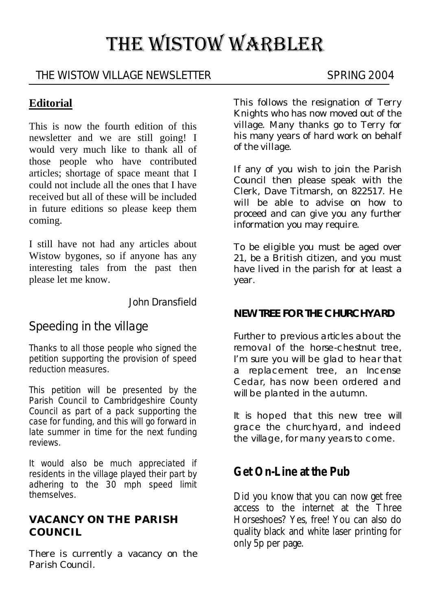# THE WISTOW WARBLER

#### THE WISTOW VILLAGE NEWSLETTER SPRING 2004

#### **Editorial**

This is now the fourth edition of this newsletter and we are still going! I would very much like to thank all of those people who have contributed articles; shortage of space meant that I could not include all the ones that I have received but all of these will be included in future editions so please keep them coming.

I still have not had any articles about Wistow bygones, so if anyone has any interesting tales from the past then please let me know.

John Dransfield

# Speeding in the village

Thanks to all those people who signed the petition supporting the provision of speed reduction measures.

This petition will be presented by the Parish Council to Cambridgeshire County Council as part of a pack supporting the case for funding, and this will go forward in late summer in time for the next funding reviews.

It would also be much appreciated if residents in the village played their part by adhering to the 30 mph speed limit themselves.

#### **VACANCY ON THE PARISH COUNCIL**

There is currently a vacancy on the Parish Council.

This follows the resignation of Terry Knights who has now moved out of the village. Many thanks go to Terry for his many years of hard work on behalf of the village.

If any of you wish to join the Parish Council then please speak with the Clerk, Dave Titmarsh, on 822517. He will be able to advise on how to proceed and can give you any further information you may require.

To be eligible you must be aged over 21, be a British citizen, and you must have lived in the parish for at least a year.

#### **NEW TREE FOR THE CHURCHYARD**

Further to previous articles about the removal of the horse-chestnut tree, I'm sure you will be glad to hear that a replacement tree, an Incense Cedar, has now been ordered and will be planted in the autumn.

It is hoped that this new tree will grace the churchyard, and indeed the village, for many years to come.

# **Get On-Line at the Pub**

Did you know that you can now get free access to the internet at the Three Horseshoes? Yes, free! You can also do quality black and white laser printing for only 5p per page.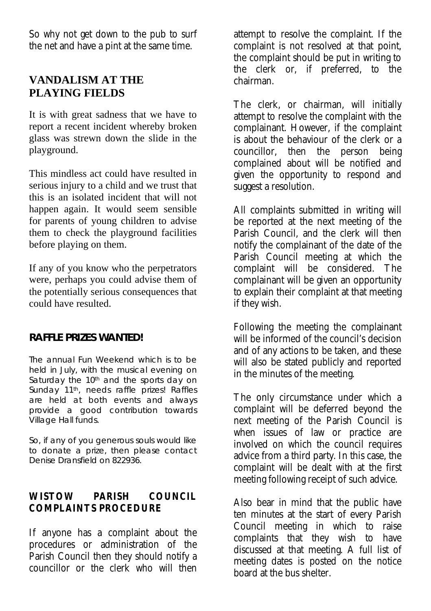So why not get down to the pub to surf the net and have a pint at the same time.

#### **VANDALISM AT THE PLAYING FIELDS**

It is with great sadness that we have to report a recent incident whereby broken glass was strewn down the slide in the playground.

This mindless act could have resulted in serious injury to a child and we trust that this is an isolated incident that will not happen again. It would seem sensible for parents of young children to advise them to check the playground facilities before playing on them.

If any of you know who the perpetrators were, perhaps you could advise them of the potentially serious consequences that could have resulted.

#### **RAFFLE PRIZES WANTED!**

The annual Fun Weekend which is to be held in July, with the musical evening on Saturday the 10<sup>th</sup> and the sports day on Sunday 11<sup>th</sup>, needs raffle prizes! Raffles are held at both events and always provide a good contribution towards Village Hall funds.

So, if any of you generous souls would like to donate a prize, then please contact Denise Dransfield on 822936.

#### **WISTOW PARISH COUNCIL COMPLAINTS PROCEDURE**

If anyone has a complaint about the procedures or administration of the Parish Council then they should notify a councillor or the clerk who will then

attempt to resolve the complaint. If the complaint is not resolved at that point, the complaint should be put in writing to the clerk or, if preferred, to the chairman.

The clerk, or chairman, will initially attempt to resolve the complaint with the complainant. However, if the complaint is about the behaviour of the clerk or a councillor, then the person being complained about will be notified and given the opportunity to respond and suggest a resolution.

All complaints submitted in writing will be reported at the next meeting of the Parish Council, and the clerk will then notify the complainant of the date of the Parish Council meeting at which the complaint will be considered. The complainant will be given an opportunity to explain their complaint at that meeting if they wish.

Following the meeting the complainant will be informed of the council's decision and of any actions to be taken, and these will also be stated publicly and reported in the minutes of the meeting.

The only circumstance under which a complaint will be deferred beyond the next meeting of the Parish Council is when issues of law or practice are involved on which the council requires advice from a third party. In this case, the complaint will be dealt with at the first meeting following receipt of such advice.

Also bear in mind that the public have ten minutes at the start of every Parish Council meeting in which to raise complaints that they wish to have discussed at that meeting. A full list of meeting dates is posted on the notice board at the bus shelter.